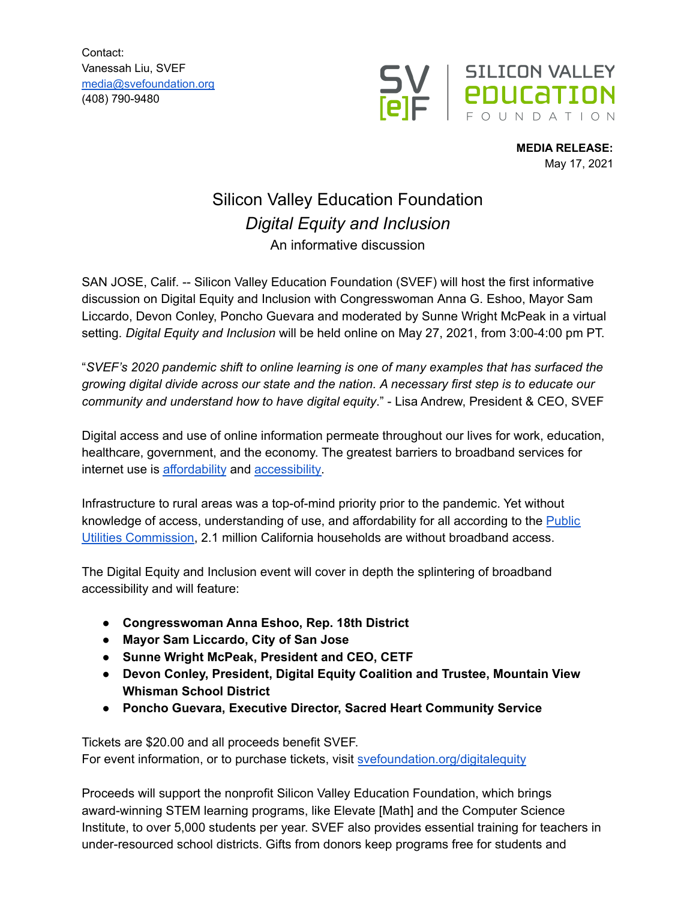Contact: Vanessah Liu, SVEF [media@svefoundation.org](mailto:media@svefoundation.org) (408) 790-9480



**MEDIA RELEASE:** May 17, 2021

## Silicon Valley Education Foundation *Digital Equity and Inclusion* An informative discussion

SAN JOSE, Calif. -- Silicon Valley Education Foundation (SVEF) will host the first informative discussion on Digital Equity and Inclusion with Congresswoman Anna G. Eshoo, Mayor Sam Liccardo, Devon Conley, Poncho Guevara and moderated by Sunne Wright McPeak in a virtual setting. *Digital Equity and Inclusion* will be held online on May 27, 2021, from 3:00-4:00 pm PT.

"*SVEF's 2020 pandemic shift to online learning is one of many examples that has surfaced the growing digital divide across our state and the nation. A necessary first step is to educate our community and understand how to have digital equity*." - Lisa Andrew, President & CEO, SVEF

Digital access and use of online information permeate throughout our lives for work, education, healthcare, government, and the economy. The greatest barriers to broadband services for internet use is [affordability](https://www.cetfund.org/action-and-results/statewide-surveys/2021-2/) and [accessibility.](https://www.cpuc.ca.gov/uploadedFiles/CPUCWebsite/Content/UtilitiesIndustries/Communications/Reports_and_Presentations/CDVideoBB/BAGapAnalysis.pdf)

Infrastructure to rural areas was a top-of-mind priority prior to the pandemic. Yet without knowledge of access, understanding of use, and affordability for all according to the [Public](https://www.cpuc.ca.gov/uploadedFiles/CPUC_Public_Website/Content/Utilities_and_Industries/Communications_-_Telecommunications_and_Broadband/2019%20Annual%20Report%20California%20Advanced%20Services%20Fund%202.pdf) Utilities [Commission,](https://www.cpuc.ca.gov/uploadedFiles/CPUC_Public_Website/Content/Utilities_and_Industries/Communications_-_Telecommunications_and_Broadband/2019%20Annual%20Report%20California%20Advanced%20Services%20Fund%202.pdf) 2.1 million California households are without broadband access.

The Digital Equity and Inclusion event will cover in depth the splintering of broadband accessibility and will feature:

- **Congresswoman Anna Eshoo, Rep. 18th District**
- **Mayor Sam Liccardo, City of San Jose**
- **● Sunne Wright McPeak, President and CEO, CETF**
- **● Devon Conley, President, Digital Equity Coalition and Trustee, Mountain View Whisman School District**
- **● Poncho Guevara, Executive Director, Sacred Heart Community Service**

Tickets are \$20.00 and all proceeds benefit SVEF. For event information, or to purchase tickets, visit [svefoundation.org/digitalequity](http://svefoundatioin.org/digitalequity)

Proceeds will support the nonprofit Silicon Valley Education Foundation, which brings award-winning STEM learning programs, like Elevate [Math] and the Computer Science Institute, to over 5,000 students per year. SVEF also provides essential training for teachers in under-resourced school districts. Gifts from donors keep programs free for students and